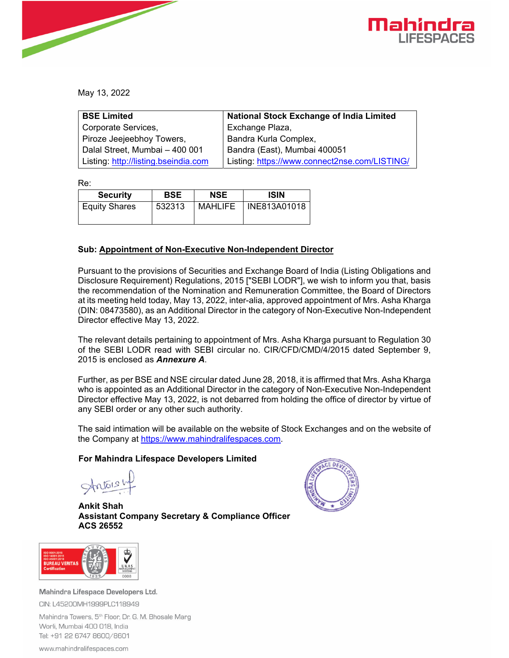

May 13, 2022

| <b>BSE Limited</b>                   | <b>National Stock Exchange of India Limited</b> |
|--------------------------------------|-------------------------------------------------|
| Corporate Services,                  | Exchange Plaza,                                 |
| Piroze Jeejeebhoy Towers,            | Bandra Kurla Complex,                           |
| Dalal Street, Mumbai - 400 001       | Bandra (East), Mumbai 400051                    |
| Listing: http://listing.bseindia.com | Listing: https://www.connect2nse.com/LISTING/   |

Re:

| <b>Security</b>      | <b>BSE</b> | <b>NSE</b> | <b>ISIN</b>  |
|----------------------|------------|------------|--------------|
| <b>Equity Shares</b> | 532313     | MAHLIFE    | INE813A01018 |

## **Sub: Appointment of Non-Executive Non-Independent Director**

Pursuant to the provisions of Securities and Exchange Board of India (Listing Obligations and Disclosure Requirement) Regulations, 2015 ["SEBI LODR"], we wish to inform you that, basis the recommendation of the Nomination and Remuneration Committee, the Board of Directors at its meeting held today, May 13, 2022, inter-alia, approved appointment of Mrs. Asha Kharga (DIN: 08473580), as an Additional Director in the category of Non-Executive Non-Independent Director effective May 13, 2022.

The relevant details pertaining to appointment of Mrs. Asha Kharga pursuant to Regulation 30 of the SEBI LODR read with SEBI circular no. CIR/CFD/CMD/4/2015 dated September 9, 2015 is enclosed as *Annexure A*.

Further, as per BSE and NSE circular dated June 28, 2018, it is affirmed that Mrs. Asha Kharga who is appointed as an Additional Director in the category of Non-Executive Non-Independent Director effective May 13, 2022, is not debarred from holding the office of director by virtue of any SEBI order or any other such authority.

The said intimation will be available on the website of Stock Exchanges and on the website of the Company at https://www.mahindralifespaces.com.

## **For Mahindra Lifespace Developers Limited**

 $charis'$ 

**Ankit Shah Assistant Company Secretary & Compliance Officer ACS 26552** 





Mahindra Lifespace Developers Ltd. CIN: L45200MH1999PLC118949

Mahindra Towers, 5<sup>th</sup> Floor, Dr. G. M. Bhosale Marg Worli, Mumbai 400 018, India Tel: +91 22 6747 8600/8601

www.mahindralifespaces.com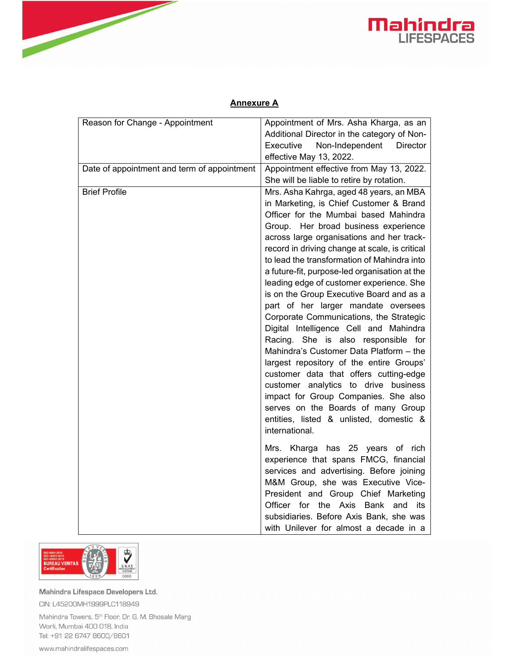



## **Annexure A**

| Reason for Change - Appointment             | Appointment of Mrs. Asha Kharga, as an         |
|---------------------------------------------|------------------------------------------------|
|                                             | Additional Director in the category of Non-    |
|                                             | Executive<br>Non-Independent<br>Director       |
|                                             | effective May 13, 2022.                        |
| Date of appointment and term of appointment | Appointment effective from May 13, 2022.       |
|                                             | She will be liable to retire by rotation.      |
| <b>Brief Profile</b>                        | Mrs. Asha Kahrga, aged 48 years, an MBA        |
|                                             | in Marketing, is Chief Customer & Brand        |
|                                             | Officer for the Mumbai based Mahindra          |
|                                             | Group. Her broad business experience           |
|                                             | across large organisations and her track-      |
|                                             | record in driving change at scale, is critical |
|                                             | to lead the transformation of Mahindra into    |
|                                             | a future-fit, purpose-led organisation at the  |
|                                             | leading edge of customer experience. She       |
|                                             | is on the Group Executive Board and as a       |
|                                             | part of her larger mandate oversees            |
|                                             | Corporate Communications, the Strategic        |
|                                             | Digital Intelligence Cell and Mahindra         |
|                                             | Racing. She is also responsible for            |
|                                             | Mahindra's Customer Data Platform - the        |
|                                             | largest repository of the entire Groups'       |
|                                             | customer data that offers cutting-edge         |
|                                             | customer analytics to drive business           |
|                                             | impact for Group Companies. She also           |
|                                             | serves on the Boards of many Group             |
|                                             | entities, listed & unlisted, domestic &        |
|                                             | international.                                 |
|                                             | Mrs. Kharga has 25 years of rich               |
|                                             | experience that spans FMCG, financial          |
|                                             | services and advertising. Before joining       |
|                                             | M&M Group, she was Executive Vice-             |
|                                             | President and Group Chief Marketing            |
|                                             | Officer for the Axis Bank and<br>its           |
|                                             | subsidiaries. Before Axis Bank, she was        |
|                                             | with Unilever for almost a decade in a         |



Mahindra Lifespace Developers Ltd. CIN: L45200MH1999PLC118949

Mahindra Towers, 5<sup>th</sup> Floor, Dr. G. M. Bhosale Marg Worli, Mumbai 400 018, India Tel: +91 22 6747 8600/8601

www.mahindralifespaces.com